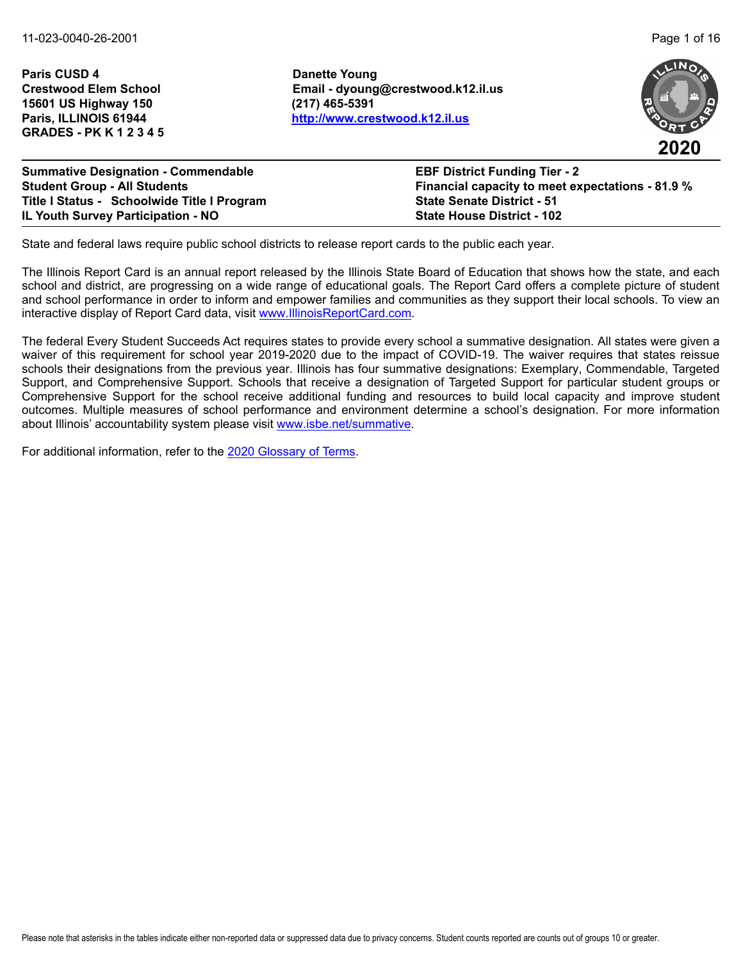**Paris CUSD 4 Danette Young 15601 US Highway 150 (217) 465-5391 GRADES - PK K 1 2 3 4 5**

**Crestwood Elem School Email - dyoung@crestwood.k12.il.us Paris, ILLINOIS 61944 <http://www.crestwood.k12.il.us>**





**Summative Designation - Commendable EBF District Funding Tier - 2 Student Group - All Students Financial capacity to meet expectations - 81.9 % Title I Status - Schoolwide Title I Program State Senate District - 51 IL Youth Survey Participation - NO State House District - 102**

State and federal laws require public school districts to release report cards to the public each year.

The Illinois Report Card is an annual report released by the Illinois State Board of Education that shows how the state, and each school and district, are progressing on a wide range of educational goals. The Report Card offers a complete picture of student and school performance in order to inform and empower families and communities as they support their local schools. To view an interactive display of Report Card data, visit [www.IllinoisReportCard.com](https://www.illinoisreportcard.com/).

The federal Every Student Succeeds Act requires states to provide every school a summative designation. All states were given a waiver of this requirement for school year 2019-2020 due to the impact of COVID-19. The waiver requires that states reissue schools their designations from the previous year. Illinois has four summative designations: Exemplary, Commendable, Targeted Support, and Comprehensive Support. Schools that receive a designation of Targeted Support for particular student groups or Comprehensive Support for the school receive additional funding and resources to build local capacity and improve student outcomes. Multiple measures of school performance and environment determine a school's designation. For more information [about Illinois' accountabil](https://www.isbe.net/summative)ity system please visit [www.isbe.net/summative.](http://www.isbe.net/summative)

For additional information, refer to th[e 2020 Glossary of Terms.](https://www.isbe.net/Documents/2020-Glossary-of-Terms.pdf)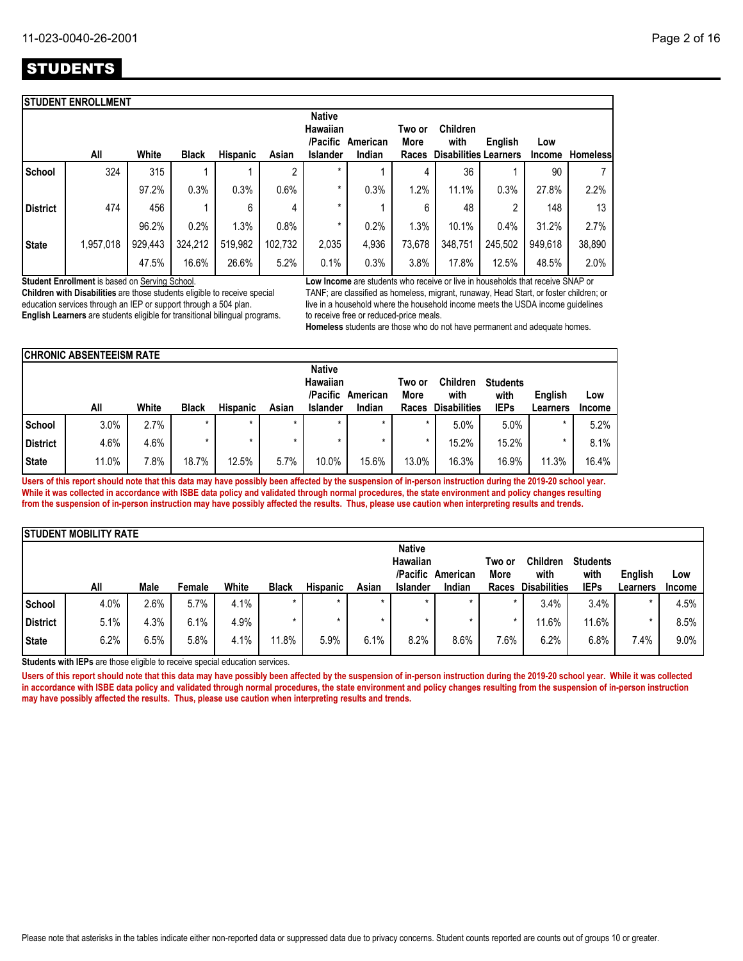# **STUDENTS**

|                 | <b>STUDENT ENROLLMENT</b> |         |              |          |         |                                                          |                    |                         |                                                         |         |                      |                 |
|-----------------|---------------------------|---------|--------------|----------|---------|----------------------------------------------------------|--------------------|-------------------------|---------------------------------------------------------|---------|----------------------|-----------------|
|                 | All                       | White   | <b>Black</b> | Hispanic | Asian   | <b>Native</b><br>Hawaiian<br>/Pacific<br><b>Islander</b> | American<br>Indian | Two or<br>More<br>Races | <b>Children</b><br>with<br><b>Disabilities Learners</b> | English | Low<br><b>Income</b> | <b>Homeless</b> |
| School          | 324                       | 315     |              |          | 2       | $\star$                                                  |                    | 4                       | 36                                                      |         | 90                   | 7               |
|                 |                           | 97.2%   | 0.3%         | 0.3%     | 0.6%    | *                                                        | 0.3%               | 1.2%                    | 11.1%                                                   | 0.3%    | 27.8%                | 2.2%            |
| <b>District</b> | 474                       | 456     |              | 6        | 4       | $\star$                                                  |                    | 6                       | 48                                                      | 2       | 148                  | 13              |
|                 |                           | 96.2%   | 0.2%         | 1.3%     | 0.8%    | *                                                        | 0.2%               | 1.3%                    | 10.1%                                                   | 0.4%    | 31.2%                | 2.7%            |
| <b>State</b>    | 1,957,018                 | 929,443 | 324,212      | 519,982  | 102,732 | 2,035                                                    | 4,936              | 73,678                  | 348,751                                                 | 245,502 | 949,618              | 38,890          |
|                 |                           | 47.5%   | 16.6%        | 26.6%    | 5.2%    | 0.1%                                                     | 0.3%               | 3.8%                    | 17.8%                                                   | 12.5%   | 48.5%                | 2.0%            |

**Student Enrollment** is based on Serving School.

**Children with Disabilities** are those students eligible to receive special education services through an IEP or support through a 504 plan. **English Learners** are students eligible for transitional bilingual programs. **Low Income** are students who receive or live in households that receive SNAP or TANF; are classified as homeless, migrant, runaway, Head Start, or foster children; or live in a household where the household income meets the USDA income guidelines to receive free or reduced-price meals.

**Homeless** students are those who do not have permanent and adequate homes.

|                 | <b>CHRONIC ABSENTEEISM RATE</b> |       |              |                 |         |                                       |          |                |                         |                         |          |               |
|-----------------|---------------------------------|-------|--------------|-----------------|---------|---------------------------------------|----------|----------------|-------------------------|-------------------------|----------|---------------|
|                 |                                 |       |              |                 |         | <b>Native</b><br>Hawaiian<br>/Pacific | American | Two or<br>More | <b>Children</b><br>with | <b>Students</b><br>with | English  | Low           |
|                 | All                             | White | <b>Black</b> | <b>Hispanic</b> | Asian   | Islander                              | Indian   | Races          | <b>Disabilities</b>     | <b>IEPs</b>             | Learners | <b>Income</b> |
| School          | 3.0%                            | 2.7%  | $\star$      | $\star$         | $\star$ | ÷                                     | $\star$  |                | 5.0%                    | 5.0%                    | $\star$  | 5.2%          |
| <b>District</b> | 4.6%                            | 4.6%  | ÷            | $\star$         |         |                                       | $\star$  |                | 15.2%                   | 15.2%                   | *        | 8.1%          |
| <b>State</b>    | 11.0%                           | 7.8%  | 18.7%        | 12.5%           | 5.7%    | 10.0%                                 | 15.6%    | 13.0%          | 16.3%                   | 16.9%                   | 11.3%    | 16.4%         |

**Users of this report should note that this data may have possibly been affected by the suspension of in-person instruction during the 2019-20 school year. While it was collected in accordance with ISBE data policy and validated through normal procedures, the state environment and policy changes resulting from the suspension of in-person instruction may have possibly affected the results. Thus, please use caution when interpreting results and trends.**

|                 | <b>ISTUDENT MOBILITY RATE</b> |      |        |       |              |                 |         |                 |          |         |                     |                 |          |               |
|-----------------|-------------------------------|------|--------|-------|--------------|-----------------|---------|-----------------|----------|---------|---------------------|-----------------|----------|---------------|
|                 |                               |      |        |       |              |                 |         | <b>Native</b>   |          |         |                     |                 |          |               |
|                 |                               |      |        |       |              |                 |         | Hawaiian        |          | Two or  | <b>Children</b>     | <b>Students</b> |          |               |
|                 |                               |      |        |       |              |                 |         | /Pacific        | American | More    | with                | with            | English  | Low           |
|                 | All                           | Male | Female | White | <b>Black</b> | <b>Hispanic</b> | Asian   | <b>Islander</b> | Indian   | Races   | <b>Disabilities</b> | <b>IEPs</b>     | Learners | <b>Income</b> |
| School          | 4.0%                          | 2.6% | 5.7%   | 4.1%  |              | $\star$         | $\star$ | $\star$         | $\star$  | $\star$ | 3.4%                | 3.4%            |          | 4.5%          |
| <b>District</b> | 5.1%                          | 4.3% | 6.1%   | 4.9%  |              |                 |         | $\star$         |          |         | 11.6%               | 11.6%           |          | 8.5%          |
| <b>State</b>    | 6.2%                          | 6.5% | 5.8%   | 4.1%  | 11.8%        | 5.9%            | 6.1%    | 8.2%            | 8.6%     | 7.6%    | 6.2%                | 6.8%            | 7.4%     | 9.0%          |

**Students with IEPs** are those eligible to receive special education services.

Users of this report should note that this data may have possibly been affected by the suspension of in-person instruction during the 2019-20 school year. While it was collected **in accordance with ISBE data policy and validated through normal procedures, the state environment and policy changes resulting from the suspension of in-person instruction may have possibly affected the results. Thus, please use caution when interpreting results and trends.**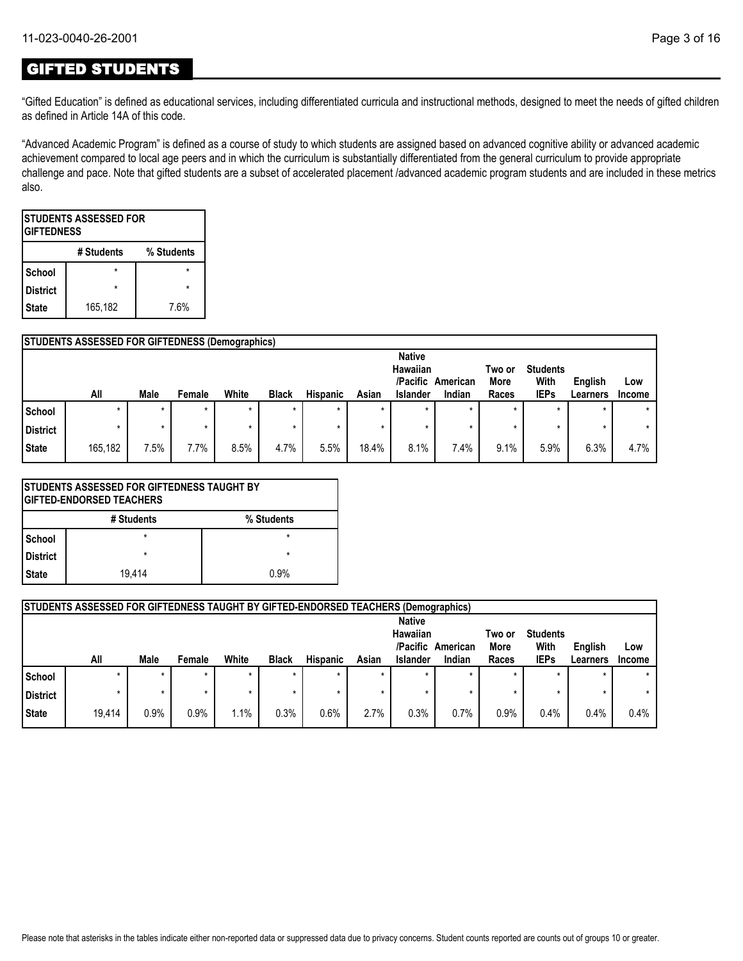## GIFTED STUDENTS

"Gifted Education" is defined as educational services, including differentiated curricula and instructional methods, designed to meet the needs of gifted children as defined in Article 14A of this code.

"Advanced Academic Program" is defined as a course of study to which students are assigned based on advanced cognitive ability or advanced academic achievement compared to local age peers and in which the curriculum is substantially differentiated from the general curriculum to provide appropriate challenge and pace. Note that gifted students are a subset of accelerated placement /advanced academic program students and are included in these metrics also.

| <b>ISTUDENTS ASSESSED FOR</b><br><b>GIFTEDNESS</b> |   |  |  |  |  |  |  |  |  |  |
|----------------------------------------------------|---|--|--|--|--|--|--|--|--|--|
| % Students<br># Students                           |   |  |  |  |  |  |  |  |  |  |
| School                                             |   |  |  |  |  |  |  |  |  |  |
| <b>District</b>                                    | ÷ |  |  |  |  |  |  |  |  |  |
| 165,182<br>7.6%<br><b>State</b>                    |   |  |  |  |  |  |  |  |  |  |

|          | <b>STUDENTS ASSESSED FOR GIFTEDNESS (Demographics)</b> |         |        |       |              |                 |         |                           |          |                |                 |          |         |
|----------|--------------------------------------------------------|---------|--------|-------|--------------|-----------------|---------|---------------------------|----------|----------------|-----------------|----------|---------|
|          |                                                        |         |        |       |              |                 |         | <b>Native</b><br>Hawaiian |          |                | <b>Students</b> |          |         |
|          |                                                        |         |        |       |              |                 |         | /Pacific                  | American | Two or<br>More | With            | English  | Low     |
|          | All                                                    | Male    | Female | White | <b>Black</b> | <b>Hispanic</b> | Asian   | <b>Islander</b>           | Indian   | Races          | <b>IEPs</b>     | Learners | Income  |
| School   |                                                        | $\star$ |        |       | $\star$      | $\star$         | $\star$ |                           |          | $\star$        |                 |          | $\star$ |
| District |                                                        | $\star$ |        |       | ÷            | ÷               | $\star$ |                           |          | ×              |                 |          | $\star$ |
| State    | 165,182                                                | 7.5%    | 7.7%   | 8.5%  | 4.7%         | 5.5%            | 18.4%   | 8.1%                      | 7.4%     | 9.1%           | 5.9%            | 6.3%     | 4.7%    |

|              |            | <b>ISTUDENTS ASSESSED FOR GIFTEDNESS TAUGHT BY</b><br><b>IGIFTED-ENDORSED TEACHERS</b> |  |  |  |  |  |  |
|--------------|------------|----------------------------------------------------------------------------------------|--|--|--|--|--|--|
|              | # Students | % Students                                                                             |  |  |  |  |  |  |
| l School     | $\star$    | $\star$                                                                                |  |  |  |  |  |  |
| District     | $\star$    | $\star$                                                                                |  |  |  |  |  |  |
| <b>State</b> | 19.414     | በ 9%                                                                                   |  |  |  |  |  |  |

|              | <b>STUDENTS ASSESSED FOR GIFTEDNESS TAUGHT BY GIFTED-ENDORSED TEACHERS (Demographics)</b> |         |        |       |              |                 |         |                                                   |                    |                         |                                        |                     |               |
|--------------|-------------------------------------------------------------------------------------------|---------|--------|-------|--------------|-----------------|---------|---------------------------------------------------|--------------------|-------------------------|----------------------------------------|---------------------|---------------|
|              | All                                                                                       | Male    | Female | White | <b>Black</b> | <b>Hispanic</b> | Asian   | <b>Native</b><br>Hawaiian<br>/Pacific<br>Islander | American<br>Indian | Two or<br>More<br>Races | <b>Students</b><br>With<br><b>IEPs</b> | English<br>Learners | Low<br>Income |
| School       |                                                                                           | $\star$ |        |       | $\star$      |                 | $\star$ |                                                   |                    | $\star$                 | $\star$                                |                     |               |
| District     |                                                                                           |         |        |       | ÷            |                 |         |                                                   |                    |                         | $\star$                                |                     |               |
| <b>State</b> | 19.414                                                                                    | 0.9%    | 0.9%   | 1.1%  | 0.3%         | 0.6%            | 2.7%    | 0.3%                                              | 0.7%               | 0.9%                    | 0.4%                                   | 0.4%                | 0.4%          |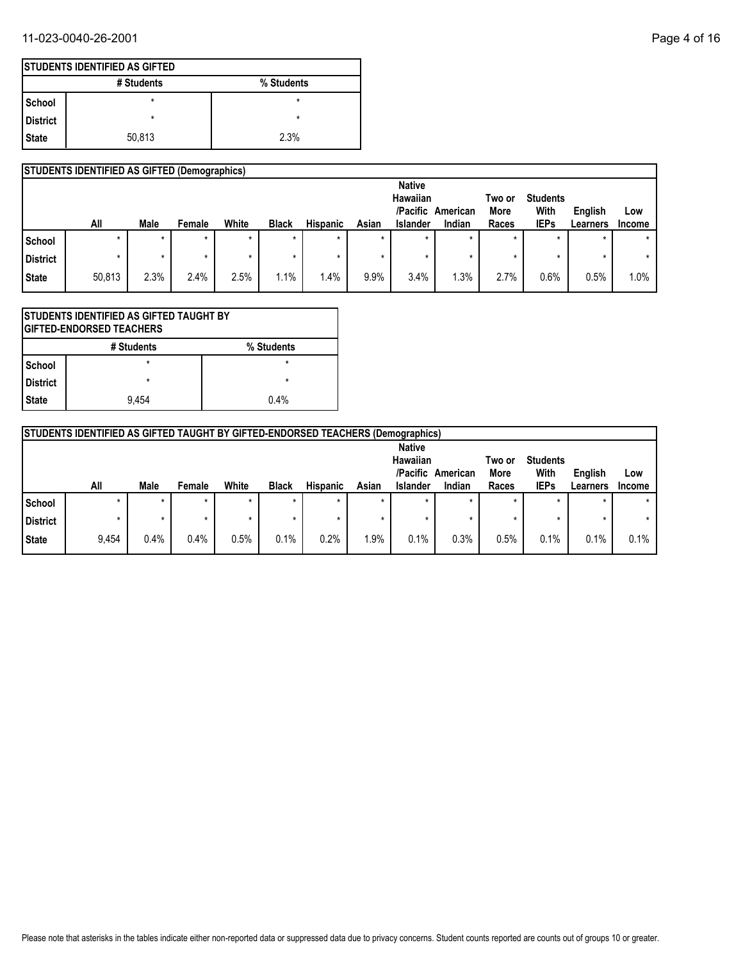### 11-023-0040-26-2001 Page 4 of 16

|            | <b>ISTUDENTS IDENTIFIED AS GIFTED</b> |            |  |  |  |  |  |  |  |  |
|------------|---------------------------------------|------------|--|--|--|--|--|--|--|--|
|            | # Students                            | % Students |  |  |  |  |  |  |  |  |
| l School   | $\star$                               | ×          |  |  |  |  |  |  |  |  |
| l District | $\star$                               | $\star$    |  |  |  |  |  |  |  |  |
| State      | 50,813                                | 2.3%       |  |  |  |  |  |  |  |  |

### **STUDENTS IDENTIFIED AS GIFTED (Demographics)**

|                 |        |         |         |         |              |                 |         | <b>Native</b><br>Hawaiian |          | Two or      | <b>Students</b> |          |               |
|-----------------|--------|---------|---------|---------|--------------|-----------------|---------|---------------------------|----------|-------------|-----------------|----------|---------------|
|                 |        |         |         |         |              |                 |         | /Pacific                  | American | <b>More</b> | With            | English  | Low           |
|                 | All    | Male    | Female  | White   | <b>Black</b> | <b>Hispanic</b> | Asian   | Islander                  | Indian   | Races       | <b>IEPs</b>     | Learners | <b>Income</b> |
| School          | ÷      | $\star$ | $\star$ | $\star$ | $\star$      |                 |         | $\star$                   | $\star$  | $\star$     | $\star$         |          | $\star$       |
| <b>District</b> |        | $\ast$  |         |         | *            |                 |         |                           |          | $\star$     |                 |          | $\star$       |
| State           | 50,813 | 2.3%    | 2.4%    | 2.5%    | 1.1%         | $.4\%$          | $9.9\%$ | 3.4%                      | .3%      | 2.7%        | 0.6%            | 0.5%     | 1.0%          |

|                          | ISTUDENTS IDENTIFIED AS GIFTED TAUGHT BY<br><b>GIFTED-ENDORSED TEACHERS</b> |         |  |  |  |  |  |  |
|--------------------------|-----------------------------------------------------------------------------|---------|--|--|--|--|--|--|
| % Students<br># Students |                                                                             |         |  |  |  |  |  |  |
| School                   | $\star$                                                                     | $\star$ |  |  |  |  |  |  |
| <b>District</b>          | $\star$                                                                     | $\star$ |  |  |  |  |  |  |
| <b>State</b>             | 9.454                                                                       | 0.4%    |  |  |  |  |  |  |

|          | <b>STUDENTS IDENTIFIED AS GIFTED TAUGHT BY GIFTED-ENDORSED TEACHERS (Demographics)</b> |         |         |       |              |                 |         |                                       |          |                |                         |          |        |
|----------|----------------------------------------------------------------------------------------|---------|---------|-------|--------------|-----------------|---------|---------------------------------------|----------|----------------|-------------------------|----------|--------|
|          |                                                                                        |         |         |       |              |                 |         | <b>Native</b><br>Hawaiian<br>/Pacific | American | Two or<br>More | <b>Students</b><br>With | English  | Low    |
|          | All                                                                                    | Male    | Female  | White | <b>Black</b> | <b>Hispanic</b> | Asian   | <b>Islander</b>                       | Indian   | Races          | <b>IEPs</b>             | Learners | Income |
| School   | ÷                                                                                      | $\star$ | $\star$ | *     | *            |                 | $\star$ | ÷                                     |          |                | ÷                       |          |        |
| District |                                                                                        |         |         |       | ÷            |                 |         | ÷                                     |          |                |                         |          |        |
| State    | 9,454                                                                                  | 0.4%    | 0.4%    | 0.5%  | 0.1%         | 0.2%            | 1.9%    | 0.1%                                  | 0.3%     | 0.5%           | 0.1%                    | 0.1%     | 0.1%   |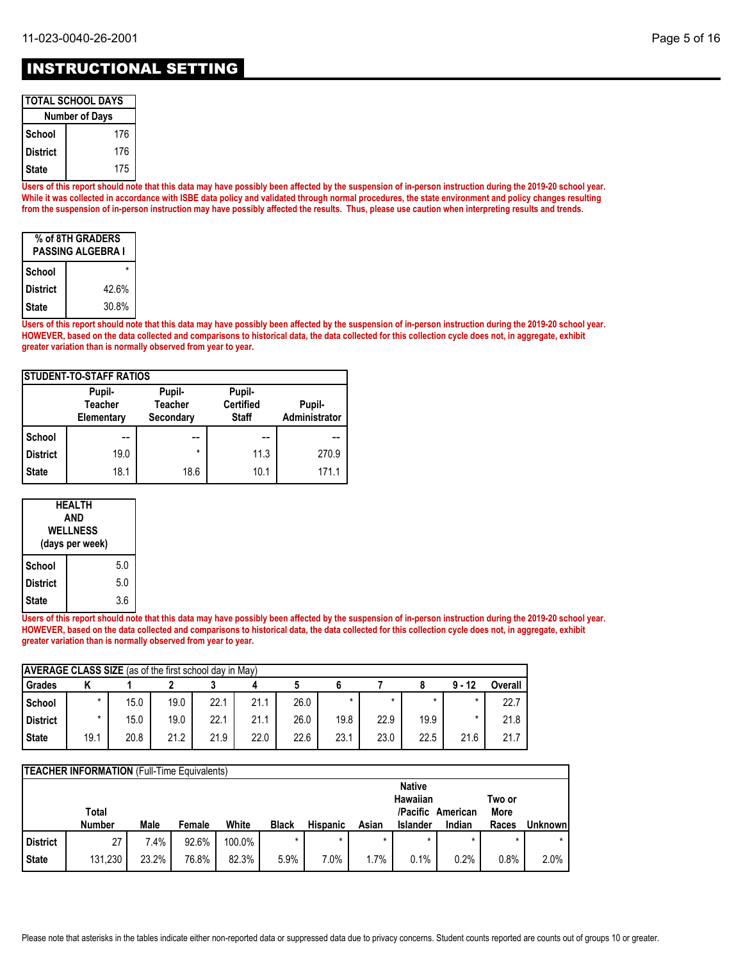| TOTAL SCHOOL DAYS |  |
|-------------------|--|
|                   |  |

| <b>Number of Days</b> |     |  |  |  |  |
|-----------------------|-----|--|--|--|--|
| School                | 176 |  |  |  |  |
| <b>District</b>       | 176 |  |  |  |  |
| <b>State</b>          | 175 |  |  |  |  |

**Users of this report should note that this data may have possibly been affected by the suspension of in-person instruction during the 2019-20 school year. While it was collected in accordance with ISBE data policy and validated through normal procedures, the state environment and policy changes resulting from the suspension of in-person instruction may have possibly affected the results. Thus, please use caution when interpreting results and trends.**

| % of 8TH GRADERS<br>PASSING ALGEBRA I |       |  |  |  |  |
|---------------------------------------|-------|--|--|--|--|
| School                                |       |  |  |  |  |
| <b>District</b>                       | 42.6% |  |  |  |  |
| <b>State</b>                          | 30.8% |  |  |  |  |

**Users of this report should note that this data may have possibly been affected by the suspension of in-person instruction during the 2019-20 school year. HOWEVER, based on the data collected and comparisons to historical data, the data collected for this collection cycle does not, in aggregate, exhibit greater variation than is normally observed from year to year.**

| <b>ISTUDENT-TO-STAFF RATIOS</b> |                                        |                                       |                                            |                         |  |  |  |  |
|---------------------------------|----------------------------------------|---------------------------------------|--------------------------------------------|-------------------------|--|--|--|--|
|                                 | Pupil-<br><b>Teacher</b><br>Elementary | Pupil-<br><b>Teacher</b><br>Secondary | Pupil-<br><b>Certified</b><br><b>Staff</b> | Pupil-<br>Administrator |  |  |  |  |
| School                          |                                        |                                       |                                            |                         |  |  |  |  |
| <b>District</b>                 | 19.0                                   | $\star$                               | 11.3                                       | 270.9                   |  |  |  |  |
| <b>State</b>                    | 18.1                                   | 18.6                                  | 10.1                                       | 171.1                   |  |  |  |  |

| HEALTH<br>AND<br><b>WELLNESS</b><br>(days per week) |     |  |  |  |
|-----------------------------------------------------|-----|--|--|--|
| School                                              | 5.0 |  |  |  |
| <b>District</b>                                     | 5.0 |  |  |  |
| <b>State</b>                                        | 3.6 |  |  |  |

**Users of this report should note that this data may have possibly been affected by the suspension of in-person instruction during the 2019-20 school year. HOWEVER, based on the data collected and comparisons to historical data, the data collected for this collection cycle does not, in aggregate, exhibit greater variation than is normally observed from year to year.**

| <b>AVERAGE CLASS SIZE</b> (as of the first school day in May) |         |      |      |      |      |      |         |      |      |          |         |
|---------------------------------------------------------------|---------|------|------|------|------|------|---------|------|------|----------|---------|
| Grades                                                        |         |      |      |      |      |      |         |      |      | $9 - 12$ | Overall |
| School                                                        | $\star$ | 15.0 | 19.0 | 22.1 | 21.1 | 26.0 | $\star$ | *    |      |          | 22.7    |
| <b>District</b>                                               | $\star$ | 15.0 | 19.0 | 22.1 | 21.1 | 26.0 | 19.8    | 22.9 | 19.9 |          | 21.8    |
| <b>State</b>                                                  | 19.1    | 20.8 | 21.2 | 21.9 | 22.0 | 22.6 | 23.1    | 23.0 | 22.5 | 21.6     | 21.7    |

| <b>TEACHER INFORMATION</b> (Full-Time Equivalents) |               |       |        |        |              |                 |         |                      |          |                |          |
|----------------------------------------------------|---------------|-------|--------|--------|--------------|-----------------|---------|----------------------|----------|----------------|----------|
|                                                    |               |       |        |        |              |                 |         | <b>Native</b>        |          |                |          |
|                                                    | Total         |       |        |        |              |                 |         | Hawaiian<br>/Pacific | American | Two or<br>More |          |
|                                                    | <b>Number</b> | Male  | Female | White  | <b>Black</b> | <b>Hispanic</b> | Asian   | <b>Islander</b>      | Indian   | Races          | Unknownl |
| <b>District</b>                                    | 27            | 7.4%  | 92.6%  | 100.0% | $\star$      |                 | $\star$ |                      |          |                |          |
| <b>State</b>                                       | 131,230       | 23.2% | 76.8%  | 82.3%  | 5.9%         | 7.0%            | 1.7%    | 0.1%                 | 0.2%     | 0.8%           | 2.0%     |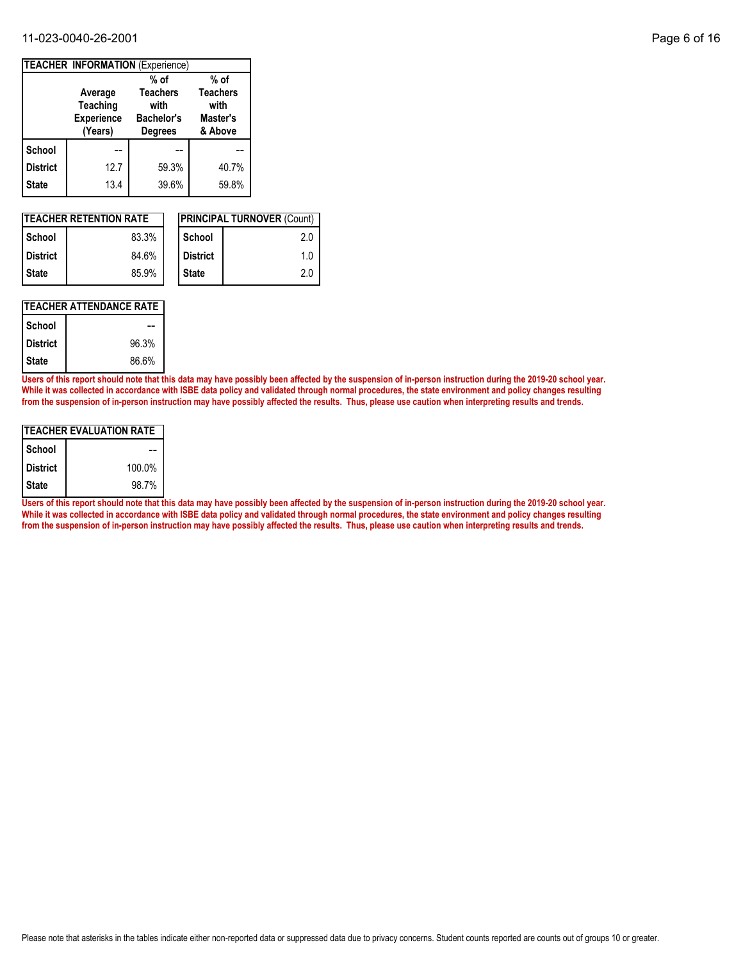#### 11-023-0040-26-2001 Page 6 of 16

| <b>TEACHER INFORMATION (Experience)</b> |                                                            |                                                                |                                                |  |  |  |  |
|-----------------------------------------|------------------------------------------------------------|----------------------------------------------------------------|------------------------------------------------|--|--|--|--|
|                                         |                                                            | % of                                                           | $%$ of                                         |  |  |  |  |
|                                         | Average<br><b>Teaching</b><br><b>Experience</b><br>(Years) | <b>Teachers</b><br>with<br><b>Bachelor's</b><br><b>Degrees</b> | <b>Teachers</b><br>with<br>Master's<br>& Above |  |  |  |  |
| <b>School</b>                           |                                                            |                                                                |                                                |  |  |  |  |
| <b>District</b>                         | 12.7                                                       | 59.3%                                                          | 40.7%                                          |  |  |  |  |
| <b>State</b>                            | 13.4                                                       | 39.6%                                                          | 59.8%                                          |  |  |  |  |

| <b>ITEACHER RETENTION RATE</b> |       |  |                 | <b>IPRINCIPAL TURNOVER (Count)</b> |
|--------------------------------|-------|--|-----------------|------------------------------------|
| l School                       | 83.3% |  | School          | 2.0                                |
| <b>District</b>                | 84.6% |  | <b>District</b> | 1.0                                |
| l State                        | 85.9% |  | <b>State</b>    | 2.0                                |

#### **TEACHER ATTENDANCE RATE**

| School          |       |
|-----------------|-------|
| <b>District</b> | 96.3% |
| <b>State</b>    | 86.6% |

**Users of this report should note that this data may have possibly been affected by the suspension of in-person instruction during the 2019-20 school year. While it was collected in accordance with ISBE data policy and validated through normal procedures, the state environment and policy changes resulting from the suspension of in-person instruction may have possibly affected the results. Thus, please use caution when interpreting results and trends.**

| <b>TEACHER EVALUATION RATE</b> |        |  |  |  |  |
|--------------------------------|--------|--|--|--|--|
| School                         |        |  |  |  |  |
| <b>District</b>                | 100.0% |  |  |  |  |
| <b>State</b>                   | 98.7%  |  |  |  |  |

**Users of this report should note that this data may have possibly been affected by the suspension of in-person instruction during the 2019-20 school year. While it was collected in accordance with ISBE data policy and validated through normal procedures, the state environment and policy changes resulting from the suspension of in-person instruction may have possibly affected the results. Thus, please use caution when interpreting results and trends.**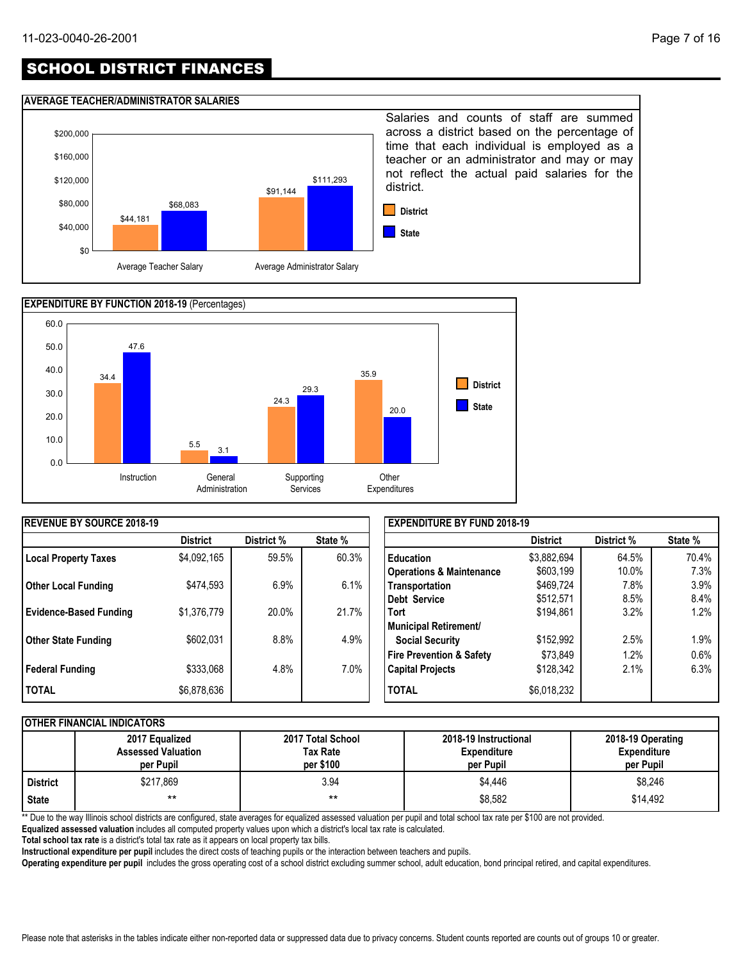## SCHOOL DISTRICT FINANCES

#### **AVERAGE TEACHER/ADMINISTRATOR SALARIES**





| <b>REVENUE BY SOURCE 2018-19</b> |                 |            |         | <b>EXPENDITURE BY FUND 2018-19</b>  |                 |            |         |
|----------------------------------|-----------------|------------|---------|-------------------------------------|-----------------|------------|---------|
|                                  | <b>District</b> | District % | State % |                                     | <b>District</b> | District % | State % |
| <b>Local Property Taxes</b>      | \$4,092,165     | 59.5%      | 60.3%   | <b>Education</b>                    | \$3,882,694     | 64.5%      | 70.4%   |
|                                  |                 |            |         | <b>Operations &amp; Maintenance</b> | \$603,199       | 10.0%      | 7.3%    |
| <b>Other Local Funding</b>       | \$474,593       | 6.9%       | 6.1%    | Transportation                      | \$469,724       | 7.8%       | 3.9%    |
|                                  |                 |            |         | <b>Debt Service</b>                 | \$512,571       | 8.5%       | 8.4%    |
| <b>Evidence-Based Funding</b>    | \$1,376,779     | 20.0%      | 21.7%   | <b>Tort</b>                         | \$194,861       | 3.2%       | 1.2%    |
|                                  |                 |            |         | <b>Municipal Retirement/</b>        |                 |            |         |
| Other State Funding              | \$602,031       | 8.8%       | 4.9%    | <b>Social Security</b>              | \$152,992       | 2.5%       | 1.9%    |
|                                  |                 |            |         | <b>Fire Prevention &amp; Safety</b> | \$73,849        | 1.2%       | 0.6%    |
| Federal Funding                  | \$333,068       | 4.8%       | $7.0\%$ | <b>Capital Projects</b>             | \$128,342       | 2.1%       | 6.3%    |
| <b>TOTAL</b>                     | \$6,878,636     |            |         | <b>TOTAL</b>                        | \$6,018,232     |            |         |

#### **OTHER FINANCIAL INDICATORS**

|            | 2017 Equalized<br><b>Assessed Valuation</b><br>per Pupil | 2017 Total School<br>Tax Rate<br>per \$100 | 2018-19 Instructional<br><b>Expenditure</b><br>per Pupil | 2018-19 Operating<br><b>Expenditure</b><br>per Pupil |  |  |  |  |  |  |
|------------|----------------------------------------------------------|--------------------------------------------|----------------------------------------------------------|------------------------------------------------------|--|--|--|--|--|--|
| l District | \$217,869                                                | 3.94                                       | \$4,446                                                  | \$8,246                                              |  |  |  |  |  |  |
| State      | $***$                                                    | $***$                                      | \$8,582                                                  | \$14.492                                             |  |  |  |  |  |  |

\*\* Due to the way Illinois school districts are configured, state averages for equalized assessed valuation per pupil and total school tax rate per \$100 are not provided.

**Equalized assessed valuation** includes all computed property values upon which a district's local tax rate is calculated.

**Total school tax rate** is a district's total tax rate as it appears on local property tax bills.

**Instructional expenditure per pupil** includes the direct costs of teaching pupils or the interaction between teachers and pupils.

**Operating expenditure per pupil** includes the gross operating cost of a school district excluding summer school, adult education, bond principal retired, and capital expenditures.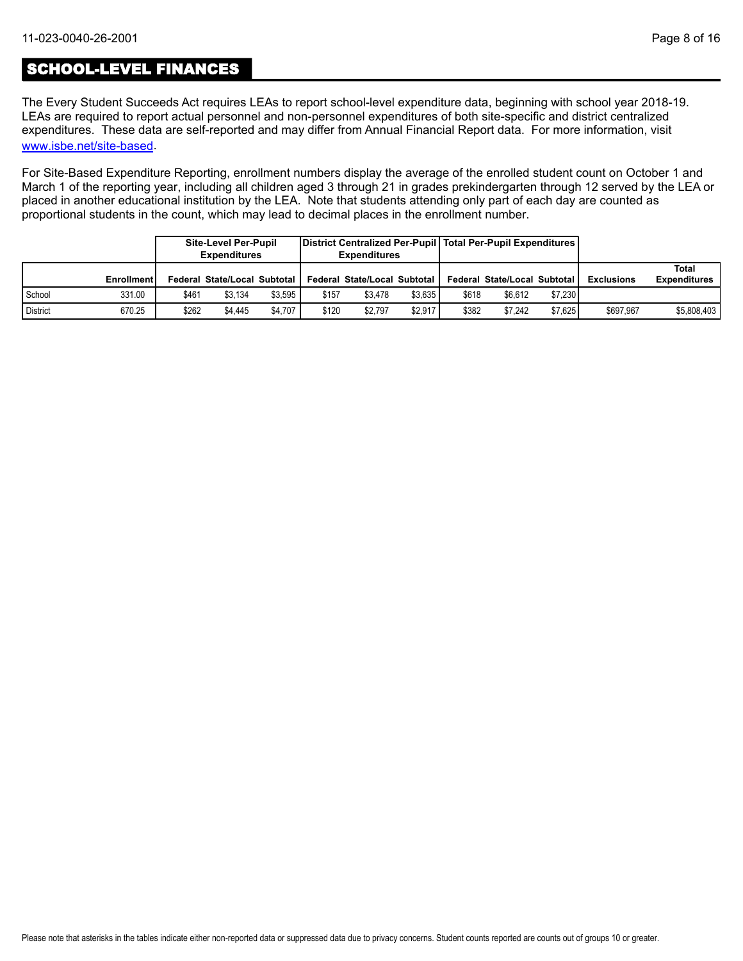## SCHOOL-LEVEL FINANCES

[www.isbe.net/site-based](https://www.isbe.net/site-based). The Every Student Succeeds Act requires LEAs to report school-level expenditure data, beginning with school year 2018-19. LEAs are required to report actual personnel and non-personnel expenditures of both site-specific and district centralized expenditures. These data are self-reported and may differ from Annual Financial Report data. For more information, visit

For Site-Based Expenditure Reporting, enrollment numbers display the average of the enrolled student count on October 1 and March 1 of the reporting year, including all children aged 3 through 21 in grades prekindergarten through 12 served by the LEA or placed in another educational institution by the LEA. Note that students attending only part of each day are counted as proportional students in the count, which may lead to decimal places in the enrollment number.

|                 |                   |       | Site-Level Per-Pupil<br><b>Expenditures</b> |         |       | District Centralized Per-Pupil   Total Per-Pupil Expenditures  <br><b>Expenditures</b> |         |       |                              |         |                   |                              |
|-----------------|-------------------|-------|---------------------------------------------|---------|-------|----------------------------------------------------------------------------------------|---------|-------|------------------------------|---------|-------------------|------------------------------|
|                 | <b>Enrollment</b> |       | Federal State/Local Subtotal                |         |       | Federal State/Local Subtotal                                                           |         |       | Federal State/Local Subtotal |         | <b>Exclusions</b> | Total<br><b>Expenditures</b> |
| School          | 331.00            | \$461 | \$3.134                                     | \$3.595 | \$157 | \$3.478                                                                                | \$3.635 | \$618 | \$6.612                      | \$7.230 |                   |                              |
| <b>District</b> | 670.25            | \$262 | \$4.445                                     | \$4.707 | \$120 | \$2.797                                                                                | \$2.917 | \$382 | \$7.242                      | \$7.625 | \$697.967         | \$5,808,403                  |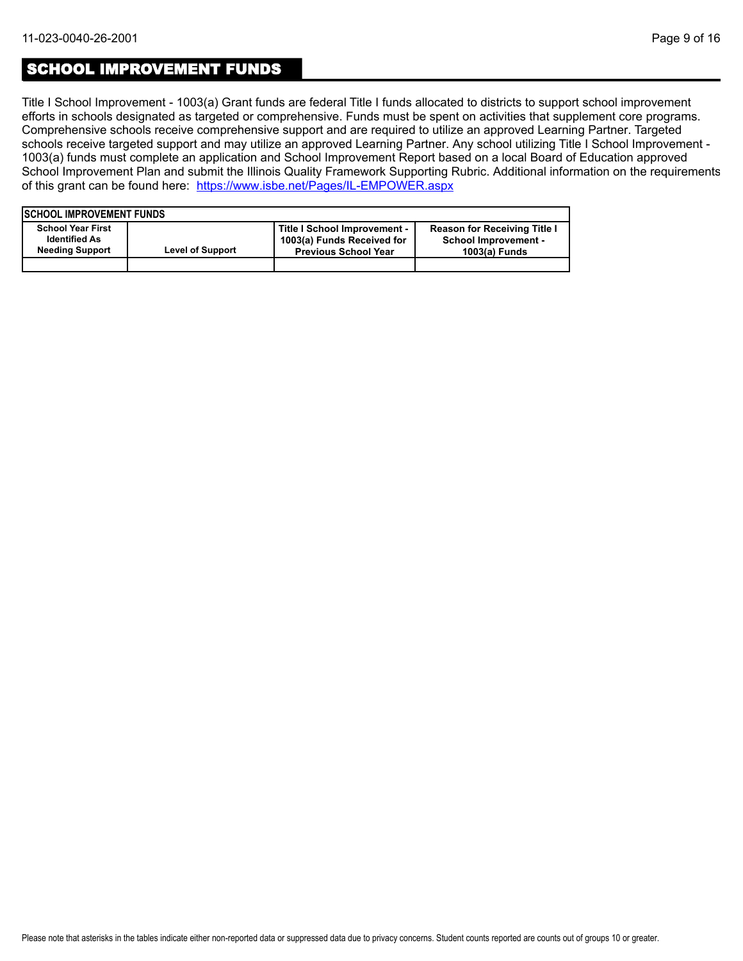### SCHOOL IMPROVEMENT FUNDS

Title I School Improvement - 1003(a) Grant funds are federal Title I funds allocated to districts to support school improvement efforts in schools designated as targeted or comprehensive. Funds must be spent on activities that supplement core programs. Comprehensive schools receive comprehensive support and are required to utilize an approved Learning Partner. Targeted schools receive targeted support and may utilize an approved Learning Partner. Any school utilizing Title I School Improvement - 1003(a) funds must complete an application and School Improvement Report based on a local Board of Education approved School Improvement Plan and submit the Illinois Quality Framework Supporting Rubric. Additional information on the requirements of this grant can be found here:<https://www.isbe.net/Pages/IL-EMPOWER.aspx>

| <b>ISCHOOL IMPROVEMENT FUNDS</b>                                           |                         |                                                                                           |                                                                                     |
|----------------------------------------------------------------------------|-------------------------|-------------------------------------------------------------------------------------------|-------------------------------------------------------------------------------------|
| <b>School Year First</b><br><b>Identified As</b><br><b>Needing Support</b> | <b>Level of Support</b> | Title I School Improvement -<br>1003(a) Funds Received for<br><b>Previous School Year</b> | <b>Reason for Receiving Title I</b><br><b>School Improvement -</b><br>1003(a) Funds |
|                                                                            |                         |                                                                                           |                                                                                     |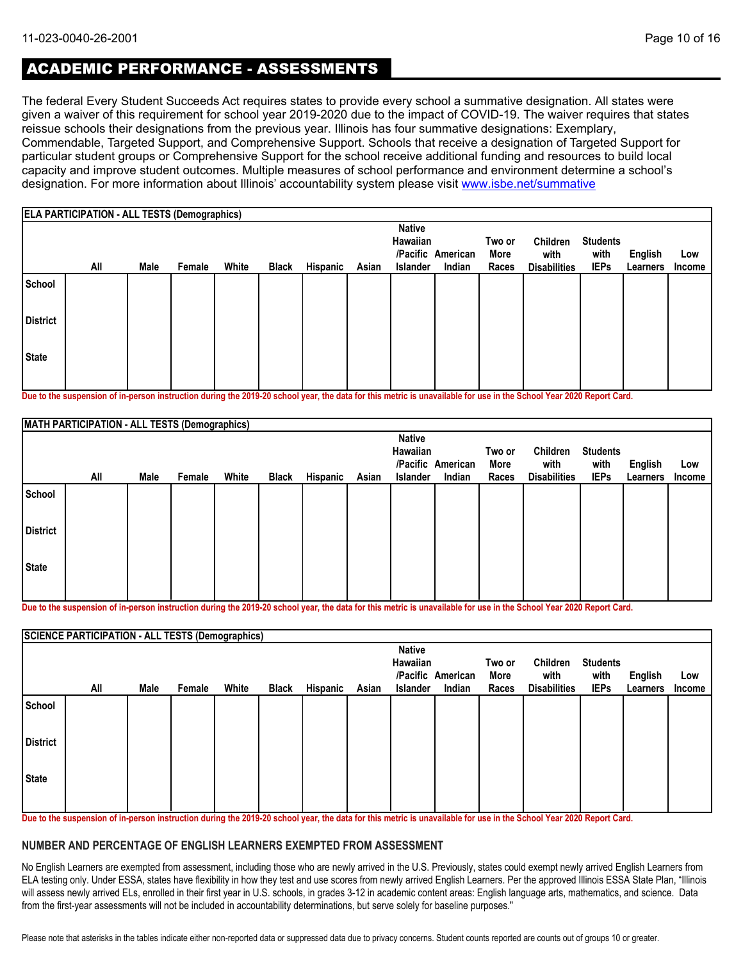## ACADEMIC PERFORMANCE - ASSESSMENTS

The federal Every Student Succeeds Act requires states to provide every school a summative designation. All states were given a waiver of this requirement for school year 2019-2020 due to the impact of COVID-19. The waiver requires that states reissue schools their designations from the previous year. Illinois has four summative designations: Exemplary, Commendable, Targeted Support, and Comprehensive Support. Schools that receive a designation of Targeted Support for particular student groups or Comprehensive Support for the school receive additional funding and resources to build local capacity and improve student outcomes. Multiple measures of school performance and environment determine a school's designation. For more information about Illinois' accountability system please visit [www.isbe.net/summative](http://www.isbe.net/summative)

|                 | <b>ELA PARTICIPATION - ALL TESTS (Demographics)</b> |      |        |       |              |          |       |                                              |                             |                         |                                         |                                        |                            |                      |
|-----------------|-----------------------------------------------------|------|--------|-------|--------------|----------|-------|----------------------------------------------|-----------------------------|-------------------------|-----------------------------------------|----------------------------------------|----------------------------|----------------------|
|                 | All                                                 | Male | Female | White | <b>Black</b> | Hispanic | Asian | <b>Native</b><br>Hawaiian<br><b>Islander</b> | /Pacific American<br>Indian | Two or<br>More<br>Races | Children<br>with<br><b>Disabilities</b> | <b>Students</b><br>with<br><b>IEPs</b> | <b>English</b><br>Learners | Low<br><b>Income</b> |
| School          |                                                     |      |        |       |              |          |       |                                              |                             |                         |                                         |                                        |                            |                      |
| <b>District</b> |                                                     |      |        |       |              |          |       |                                              |                             |                         |                                         |                                        |                            |                      |
| <b>State</b>    |                                                     |      |        |       |              |          |       |                                              |                             |                         |                                         |                                        |                            |                      |

**Due to the suspension of in-person instruction during the 2019-20 school year, the data for this metric is unavailable for use in the School Year 2020 Report Card.**

|                 | MATH PARTICIPATION - ALL TESTS (Demographics) |      |        |       |              |          |       |                           |                   |        |                     |                 |          |        |
|-----------------|-----------------------------------------------|------|--------|-------|--------------|----------|-------|---------------------------|-------------------|--------|---------------------|-----------------|----------|--------|
|                 |                                               |      |        |       |              |          |       | <b>Native</b><br>Hawaiian |                   | Two or | Children            | <b>Students</b> |          |        |
|                 |                                               |      |        |       |              |          |       |                           | /Pacific American | More   | with                | with            | English  | Low    |
|                 | All                                           | Male | Female | White | <b>Black</b> | Hispanic | Asian | Islander                  | Indian            | Races  | <b>Disabilities</b> | <b>IEPs</b>     | Learners | Income |
| School          |                                               |      |        |       |              |          |       |                           |                   |        |                     |                 |          |        |
| <b>District</b> |                                               |      |        |       |              |          |       |                           |                   |        |                     |                 |          |        |
| State           |                                               |      |        |       |              |          |       |                           |                   |        |                     |                 |          |        |
|                 |                                               |      |        |       |              |          |       |                           |                   |        |                     |                 |          |        |

**Due to the suspension of in-person instruction during the 2019-20 school year, the data for this metric is unavailable for use in the School Year 2020 Report Card.**

|                 | <b>SCIENCE PARTICIPATION - ALL TESTS (Demographics)</b> |      |        |       |              |          |       |                           |                   |        |                     |                 |          |        |
|-----------------|---------------------------------------------------------|------|--------|-------|--------------|----------|-------|---------------------------|-------------------|--------|---------------------|-----------------|----------|--------|
|                 |                                                         |      |        |       |              |          |       | <b>Native</b><br>Hawaiian |                   | Two or | Children            | <b>Students</b> |          |        |
|                 |                                                         |      |        |       |              |          |       |                           | /Pacific American | More   | with                | with            | English  | Low    |
|                 | All                                                     | Male | Female | White | <b>Black</b> | Hispanic | Asian | <b>Islander</b>           | Indian            | Races  | <b>Disabilities</b> | <b>IEPs</b>     | Learners | Income |
| School          |                                                         |      |        |       |              |          |       |                           |                   |        |                     |                 |          |        |
| <b>District</b> |                                                         |      |        |       |              |          |       |                           |                   |        |                     |                 |          |        |
| <b>State</b>    |                                                         |      |        |       |              |          |       |                           |                   |        |                     |                 |          |        |
|                 |                                                         |      |        |       |              |          |       |                           |                   |        |                     |                 |          |        |

**Due to the suspension of in-person instruction during the 2019-20 school year, the data for this metric is unavailable for use in the School Year 2020 Report Card.**

#### **NUMBER AND PERCENTAGE OF ENGLISH LEARNERS EXEMPTED FROM ASSESSMENT**

No English Learners are exempted from assessment, including those who are newly arrived in the U.S. Previously, states could exempt newly arrived English Learners from ELA testing only. Under ESSA, states have flexibility in how they test and use scores from newly arrived English Learners. Per the approved Illinois ESSA State Plan, "Illinois will assess newly arrived ELs, enrolled in their first year in U.S. schools, in grades 3-12 in academic content areas: English language arts, mathematics, and science. Data from the first-year assessments will not be included in accountability determinations, but serve solely for baseline purposes."

Please note that asterisks in the tables indicate either non-reported data or suppressed data due to privacy concerns. Student counts reported are counts out of groups 10 or greater.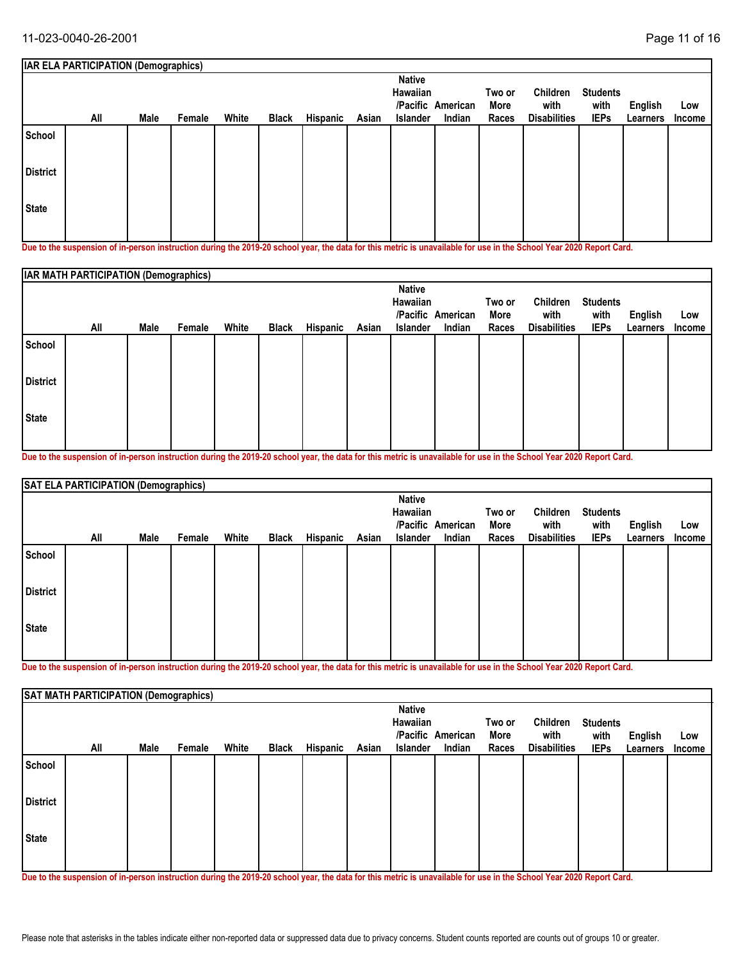|                 | <b>IAR ELA PARTICIPATION (Demographics)</b>                                                                                                               |      |        |       |              |          |       |                                              |                             |                         |                                                |                                        |                     |               |
|-----------------|-----------------------------------------------------------------------------------------------------------------------------------------------------------|------|--------|-------|--------------|----------|-------|----------------------------------------------|-----------------------------|-------------------------|------------------------------------------------|----------------------------------------|---------------------|---------------|
|                 | All                                                                                                                                                       | Male | Female | White | <b>Black</b> | Hispanic | Asian | <b>Native</b><br>Hawaiian<br><b>Islander</b> | /Pacific American<br>Indian | Two or<br>More<br>Races | <b>Children</b><br>with<br><b>Disabilities</b> | <b>Students</b><br>with<br><b>IEPs</b> | English<br>Learners | Low<br>Income |
| School          |                                                                                                                                                           |      |        |       |              |          |       |                                              |                             |                         |                                                |                                        |                     |               |
| <b>District</b> |                                                                                                                                                           |      |        |       |              |          |       |                                              |                             |                         |                                                |                                        |                     |               |
| <b>State</b>    |                                                                                                                                                           |      |        |       |              |          |       |                                              |                             |                         |                                                |                                        |                     |               |
|                 | Bur to the comparation of the comparational contract the AAA AA school compatibility are distinguished and the Contract and Coloral Victo AAAA Burgul And |      |        |       |              |          |       |                                              |                             |                         |                                                |                                        |                     |               |

**Due to the suspension of in-person instruction during the 2019-20 school year, the data for this metric is unavailable for use in the School Year 2020 Report Card.**

|                 | <b>IAR MATH PARTICIPATION (Demographics)</b> |      |        |       |              |          |       |                                              |                             |                         |                                         |                                        |                                   |               |
|-----------------|----------------------------------------------|------|--------|-------|--------------|----------|-------|----------------------------------------------|-----------------------------|-------------------------|-----------------------------------------|----------------------------------------|-----------------------------------|---------------|
|                 | All                                          | Male | Female | White | <b>Black</b> | Hispanic | Asian | <b>Native</b><br>Hawaiian<br><b>Islander</b> | /Pacific American<br>Indian | Two or<br>More<br>Races | Children<br>with<br><b>Disabilities</b> | <b>Students</b><br>with<br><b>IEPs</b> | <b>English</b><br><b>Learners</b> | Low<br>Income |
| School          |                                              |      |        |       |              |          |       |                                              |                             |                         |                                         |                                        |                                   |               |
| <b>District</b> |                                              |      |        |       |              |          |       |                                              |                             |                         |                                         |                                        |                                   |               |
| <b>State</b>    |                                              |      |        |       |              |          |       |                                              |                             |                         |                                         |                                        |                                   |               |

**Due to the suspension of in-person instruction during the 2019-20 school year, the data for this metric is unavailable for use in the School Year 2020 Report Card.**

|                 | SAT ELA PARTICIPATION (Demographics) |      |        |       |              |          |       |                                              |                             |                         |                                         |                                        |                     |               |
|-----------------|--------------------------------------|------|--------|-------|--------------|----------|-------|----------------------------------------------|-----------------------------|-------------------------|-----------------------------------------|----------------------------------------|---------------------|---------------|
|                 | All                                  | Male | Female | White | <b>Black</b> | Hispanic | Asian | <b>Native</b><br><b>Hawaiian</b><br>Islander | /Pacific American<br>Indian | Two or<br>More<br>Races | Children<br>with<br><b>Disabilities</b> | <b>Students</b><br>with<br><b>IEPs</b> | English<br>Learners | Low<br>Income |
| School          |                                      |      |        |       |              |          |       |                                              |                             |                         |                                         |                                        |                     |               |
| <b>District</b> |                                      |      |        |       |              |          |       |                                              |                             |                         |                                         |                                        |                     |               |
| State           |                                      |      |        |       |              |          |       |                                              |                             |                         |                                         |                                        |                     |               |

**Due to the suspension of in-person instruction during the 2019-20 school year, the data for this metric is unavailable for use in the School Year 2020 Report Card.**

|                 | SAT MATH PARTICIPATION (Demographics) |      |        |       |              |          |       |                                       |                             |                         |                                         |                                        |                     |               |
|-----------------|---------------------------------------|------|--------|-------|--------------|----------|-------|---------------------------------------|-----------------------------|-------------------------|-----------------------------------------|----------------------------------------|---------------------|---------------|
|                 | All                                   | Male | Female | White | <b>Black</b> | Hispanic | Asian | <b>Native</b><br>Hawaiian<br>Islander | /Pacific American<br>Indian | Two or<br>More<br>Races | Children<br>with<br><b>Disabilities</b> | <b>Students</b><br>with<br><b>IEPs</b> | English<br>Learners | Low<br>Income |
| School          |                                       |      |        |       |              |          |       |                                       |                             |                         |                                         |                                        |                     |               |
| <b>District</b> |                                       |      |        |       |              |          |       |                                       |                             |                         |                                         |                                        |                     |               |
| State           |                                       |      |        |       |              |          |       |                                       |                             |                         |                                         |                                        |                     |               |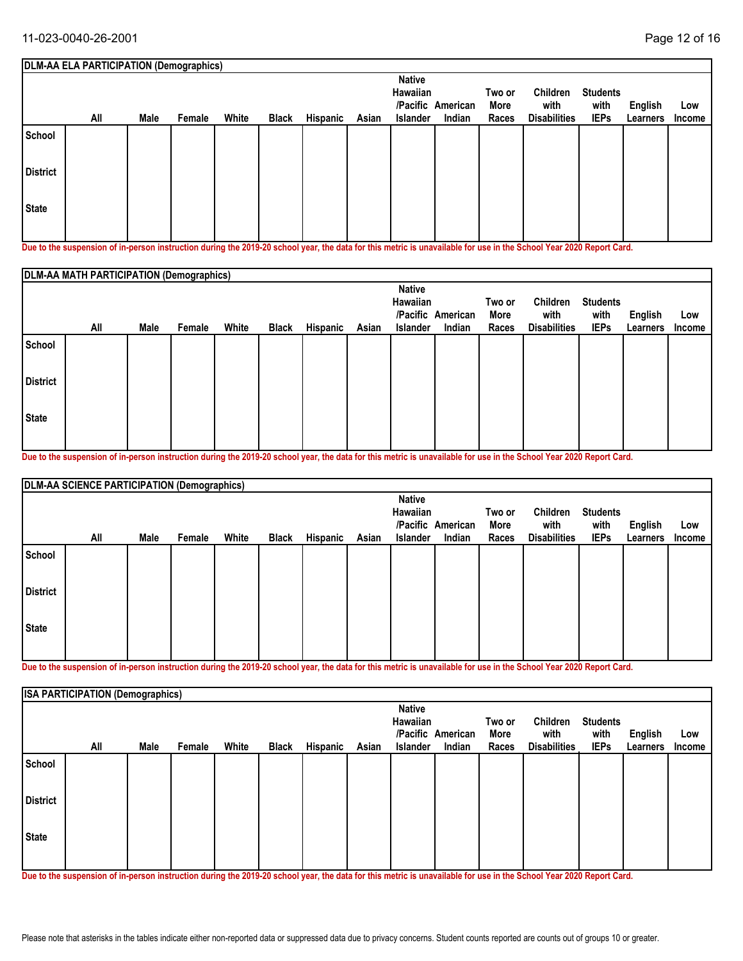|                 | DLM-AA ELA PARTICIPATION (Demographics)                                                                                                                    |      |        |       |              |          |       |                                              |                             |                         |                                         |                                        |                     |                      |
|-----------------|------------------------------------------------------------------------------------------------------------------------------------------------------------|------|--------|-------|--------------|----------|-------|----------------------------------------------|-----------------------------|-------------------------|-----------------------------------------|----------------------------------------|---------------------|----------------------|
|                 | All                                                                                                                                                        | Male | Female | White | <b>Black</b> | Hispanic | Asian | <b>Native</b><br>Hawaiian<br><b>Islander</b> | /Pacific American<br>Indian | Two or<br>More<br>Races | Children<br>with<br><b>Disabilities</b> | <b>Students</b><br>with<br><b>IEPs</b> | English<br>Learners | Low<br><b>Income</b> |
| School          |                                                                                                                                                            |      |        |       |              |          |       |                                              |                             |                         |                                         |                                        |                     |                      |
| <b>District</b> |                                                                                                                                                            |      |        |       |              |          |       |                                              |                             |                         |                                         |                                        |                     |                      |
| l State         |                                                                                                                                                            |      |        |       |              |          |       |                                              |                             |                         |                                         |                                        |                     |                      |
|                 | Dua ta tha ananantan af in naman inaturatiwa dimina tha 9040.90 aghaal wan tha data farthis matuja in manailahla farma in tha Cabaal Vaau 9090 Danaut Caud |      |        |       |              |          |       |                                              |                             |                         |                                         |                                        |                     |                      |

**Due to the suspension of in-person instruction during the 2019-20 school year, the data for this metric is unavailable for use in the School Year 2020 Report Card.**

|                 | DLM-AA MATH PARTICIPATION (Demographics) |      |        |       |              |          |       |                                       |                             |                         |                                         |                                        |                            |                      |
|-----------------|------------------------------------------|------|--------|-------|--------------|----------|-------|---------------------------------------|-----------------------------|-------------------------|-----------------------------------------|----------------------------------------|----------------------------|----------------------|
|                 | All                                      | Male | Female | White | <b>Black</b> | Hispanic | Asian | <b>Native</b><br>Hawaiian<br>Islander | /Pacific American<br>Indian | Two or<br>More<br>Races | Children<br>with<br><b>Disabilities</b> | <b>Students</b><br>with<br><b>IEPs</b> | <b>English</b><br>Learners | Low<br><b>Income</b> |
| School          |                                          |      |        |       |              |          |       |                                       |                             |                         |                                         |                                        |                            |                      |
| <b>District</b> |                                          |      |        |       |              |          |       |                                       |                             |                         |                                         |                                        |                            |                      |
| <b>State</b>    |                                          |      |        |       |              |          |       |                                       |                             |                         |                                         |                                        |                            |                      |

**Due to the suspension of in-person instruction during the 2019-20 school year, the data for this metric is unavailable for use in the School Year 2020 Report Card.**

|                 | DLM-AA SCIENCE PARTICIPATION (Demographics) |      |        |       |              |          |       |                 |                   |        |                     |                 |          |        |
|-----------------|---------------------------------------------|------|--------|-------|--------------|----------|-------|-----------------|-------------------|--------|---------------------|-----------------|----------|--------|
|                 |                                             |      |        |       |              |          |       | <b>Native</b>   |                   |        |                     |                 |          |        |
|                 |                                             |      |        |       |              |          |       | Hawaiian        |                   | Two or | Children            | <b>Students</b> |          |        |
|                 |                                             |      |        |       |              |          |       |                 | /Pacific American | More   | with                | with            | English  | Low    |
|                 | All                                         | Male | Female | White | <b>Black</b> | Hispanic | Asian | <b>Islander</b> | Indian            | Races  | <b>Disabilities</b> | <b>IEPs</b>     | Learners | Income |
| School          |                                             |      |        |       |              |          |       |                 |                   |        |                     |                 |          |        |
| <b>District</b> |                                             |      |        |       |              |          |       |                 |                   |        |                     |                 |          |        |
| State           |                                             |      |        |       |              |          |       |                 |                   |        |                     |                 |          |        |
|                 |                                             |      |        |       |              |          |       |                 |                   |        |                     |                 |          |        |

**Due to the suspension of in-person instruction during the 2019-20 school year, the data for this metric is unavailable for use in the School Year 2020 Report Card.**

|                 | <b>ISA PARTICIPATION (Demographics)</b> |      |        |       |              |          |       |                                       |                             |                         |                                         |                                        |                            |               |
|-----------------|-----------------------------------------|------|--------|-------|--------------|----------|-------|---------------------------------------|-----------------------------|-------------------------|-----------------------------------------|----------------------------------------|----------------------------|---------------|
|                 | All                                     | Male | Female | White | <b>Black</b> | Hispanic | Asian | <b>Native</b><br>Hawaiian<br>Islander | /Pacific American<br>Indian | Two or<br>More<br>Races | Children<br>with<br><b>Disabilities</b> | <b>Students</b><br>with<br><b>IEPs</b> | <b>English</b><br>Learners | Low<br>Income |
| School          |                                         |      |        |       |              |          |       |                                       |                             |                         |                                         |                                        |                            |               |
| <b>District</b> |                                         |      |        |       |              |          |       |                                       |                             |                         |                                         |                                        |                            |               |
| State           |                                         |      |        |       |              |          |       |                                       |                             |                         |                                         |                                        |                            |               |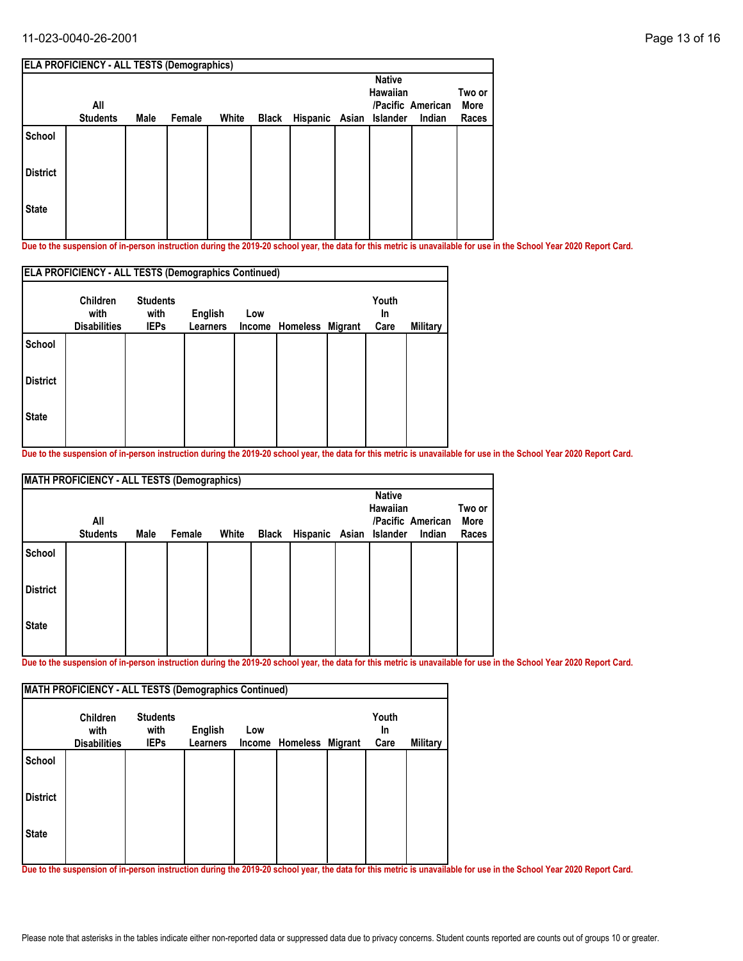#### 11-023-0040-26-2001 Page 13 of 16

|                 | <b>ELA PROFICIENCY - ALL TESTS (Demographics)</b> |      |        |       |       |                |                           |                   |        |
|-----------------|---------------------------------------------------|------|--------|-------|-------|----------------|---------------------------|-------------------|--------|
|                 |                                                   |      |        |       |       |                | <b>Native</b><br>Hawaiian |                   | Two or |
|                 | All                                               |      |        |       |       |                |                           | /Pacific American | More   |
|                 | <b>Students</b>                                   | Male | Female | White | Black | Hispanic Asian | Islander                  | Indian            | Races  |
| School          |                                                   |      |        |       |       |                |                           |                   |        |
| <b>District</b> |                                                   |      |        |       |       |                |                           |                   |        |
| <b>State</b>    |                                                   |      |        |       |       |                |                           |                   |        |
|                 |                                                   |      |        |       |       |                |                           |                   |        |

**Due to the suspension of in-person instruction during the 2019-20 school year, the data for this metric is unavailable for use in the School Year 2020 Report Card.**

|                 | <b>ELA PROFICIENCY - ALL TESTS (Demographics Continued)</b> |                                        |                            |               |                  |  |                     |          |  |  |  |  |
|-----------------|-------------------------------------------------------------|----------------------------------------|----------------------------|---------------|------------------|--|---------------------|----------|--|--|--|--|
|                 | <b>Children</b><br>with<br><b>Disabilities</b>              | <b>Students</b><br>with<br><b>IEPs</b> | <b>English</b><br>Learners | Low<br>Income | Homeless Migrant |  | Youth<br>In<br>Care | Military |  |  |  |  |
| <b>School</b>   |                                                             |                                        |                            |               |                  |  |                     |          |  |  |  |  |
| <b>District</b> |                                                             |                                        |                            |               |                  |  |                     |          |  |  |  |  |
| <b>State</b>    |                                                             |                                        |                            |               |                  |  |                     |          |  |  |  |  |

**Due to the suspension of in-person instruction during the 2019-20 school year, the data for this metric is unavailable for use in the School Year 2020 Report Card.**

|                 | <b>MATH PROFICIENCY - ALL TESTS (Demographics)</b> |      |        |       |       |                         |                           |                             |                         |
|-----------------|----------------------------------------------------|------|--------|-------|-------|-------------------------|---------------------------|-----------------------------|-------------------------|
|                 | All<br><b>Students</b>                             | Male | Female | White | Black | Hispanic Asian Islander | <b>Native</b><br>Hawaiian | /Pacific American<br>Indian | Two or<br>More<br>Races |
| School          |                                                    |      |        |       |       |                         |                           |                             |                         |
| <b>District</b> |                                                    |      |        |       |       |                         |                           |                             |                         |
| <b>State</b>    |                                                    |      |        |       |       |                         |                           |                             |                         |

**Due to the suspension of in-person instruction during the 2019-20 school year, the data for this metric is unavailable for use in the School Year 2020 Report Card.**

|                 | <b>Children</b><br>with | <b>Students</b><br>with | English  | Low    |                  | Youth<br><b>In</b> |          |
|-----------------|-------------------------|-------------------------|----------|--------|------------------|--------------------|----------|
|                 | <b>Disabilities</b>     | <b>IEPs</b>             | Learners | Income | Homeless Migrant | Care               | Military |
| <b>School</b>   |                         |                         |          |        |                  |                    |          |
| <b>District</b> |                         |                         |          |        |                  |                    |          |
| <b>State</b>    |                         |                         |          |        |                  |                    |          |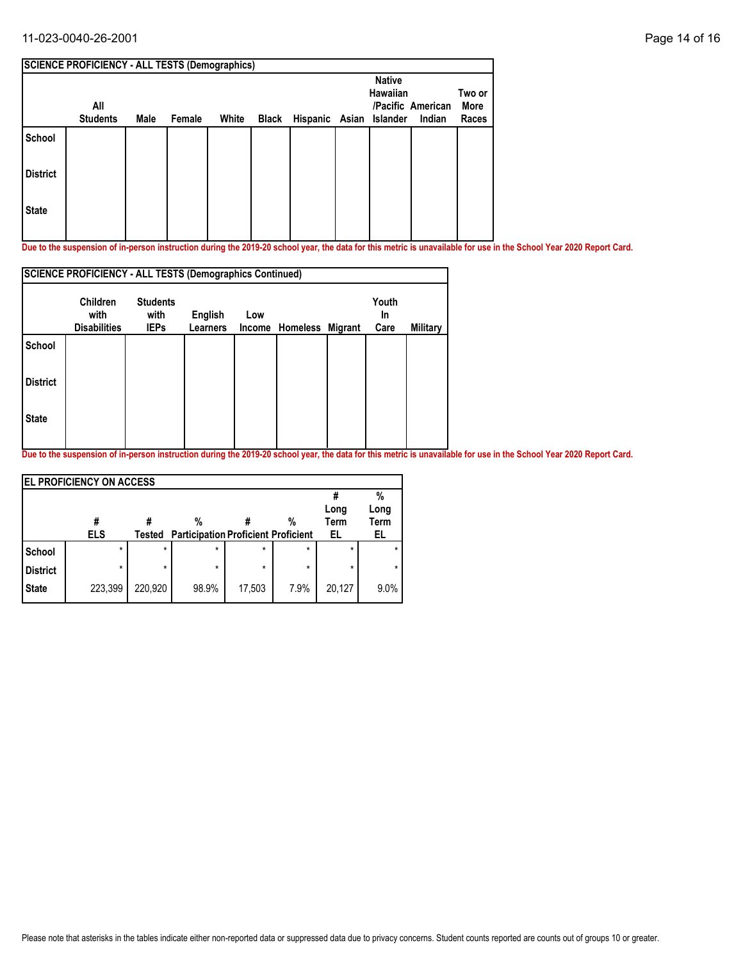#### 11-023-0040-26-2001 Page 14 of 16

| <b>SCIENCE PROFICIENCY - ALL TESTS (Demographics)</b> |                 |      |        |       |       |  |                           |                         |                             |  |  |  |
|-------------------------------------------------------|-----------------|------|--------|-------|-------|--|---------------------------|-------------------------|-----------------------------|--|--|--|
| All                                                   |                 |      |        |       |       |  | <b>Native</b><br>Hawaiian |                         | Two or<br>More<br>Races     |  |  |  |
|                                                       |                 |      |        |       |       |  |                           |                         |                             |  |  |  |
|                                                       |                 |      |        |       |       |  |                           |                         |                             |  |  |  |
|                                                       |                 |      |        |       |       |  |                           |                         |                             |  |  |  |
|                                                       | <b>Students</b> | Male | Female | White | Black |  |                           | Hispanic Asian Islander | /Pacific American<br>Indian |  |  |  |

**Due to the suspension of in-person instruction during the 2019-20 school year, the data for this metric is unavailable for use in the School Year 2020 Report Card.**

|                 | <b>SCIENCE PROFICIENCY - ALL TESTS (Demographics Continued)</b> |                                        |                            |     |                 |         |             |          |  |  |  |  |
|-----------------|-----------------------------------------------------------------|----------------------------------------|----------------------------|-----|-----------------|---------|-------------|----------|--|--|--|--|
|                 | <b>Children</b><br>with<br><b>Disabilities</b>                  | <b>Students</b><br>with<br><b>IEPs</b> | English<br><b>Learners</b> | Low |                 |         | Youth<br>In |          |  |  |  |  |
| School          |                                                                 |                                        |                            |     | Income Homeless | Migrant | Care        | Military |  |  |  |  |
| <b>District</b> |                                                                 |                                        |                            |     |                 |         |             |          |  |  |  |  |
| <b>State</b>    |                                                                 |                                        |                            |     |                 |         |             |          |  |  |  |  |
|                 |                                                                 |                                        |                            |     |                 |         |             |          |  |  |  |  |

|                 | <b>EL PROFICIENCY ON ACCESS</b> |         |                                                 |         |         |                    |                         |
|-----------------|---------------------------------|---------|-------------------------------------------------|---------|---------|--------------------|-------------------------|
|                 | #<br><b>ELS</b>                 | Tested  | %<br><b>Participation Proficient Proficient</b> |         | %       | Long<br>Term<br>EL | %<br>Long<br>Term<br>EL |
| School          | $\star$                         | $\star$ | $\star$                                         | $\star$ | $\star$ | $\star$            |                         |
| <b>District</b> | ÷                               | $\star$ | $\star$                                         | $\star$ | $\star$ | *                  |                         |
| <b>State</b>    | 223,399                         | 220,920 | 98.9%                                           | 17,503  | 7.9%    | 20,127             | 9.0%                    |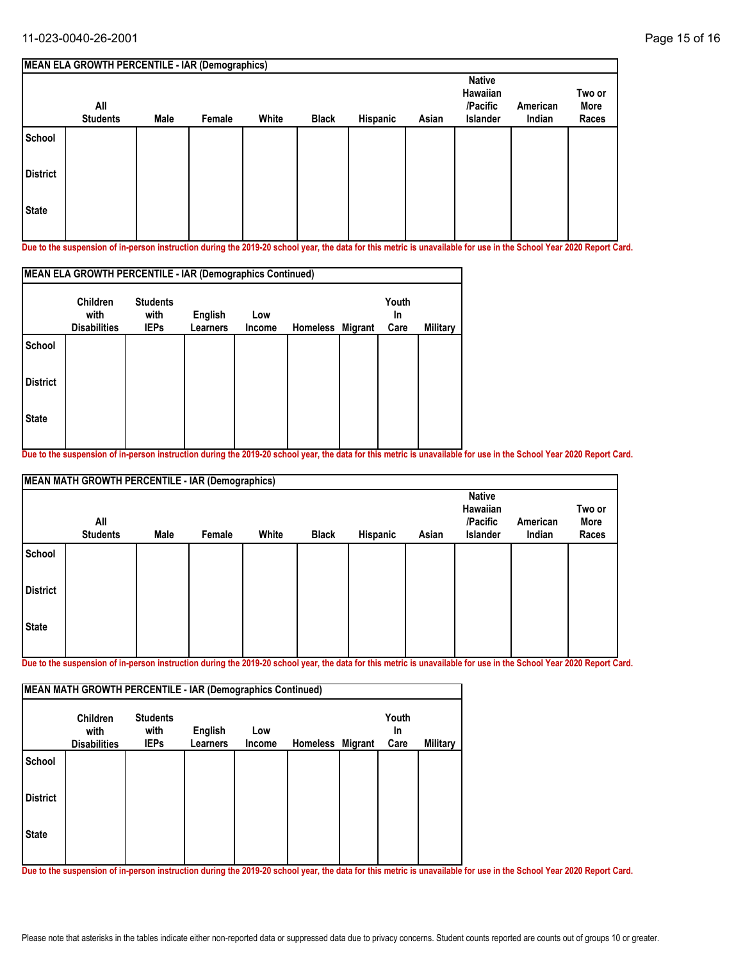|                 | <b>MEAN ELA GROWTH PERCENTILE - IAR (Demographics)</b> |             |        |       |              |          |       |                                                   |                    |                         |
|-----------------|--------------------------------------------------------|-------------|--------|-------|--------------|----------|-------|---------------------------------------------------|--------------------|-------------------------|
|                 | All<br><b>Students</b>                                 | <b>Male</b> | Female | White | <b>Black</b> | Hispanic | Asian | <b>Native</b><br>Hawaiian<br>/Pacific<br>Islander | American<br>Indian | Two or<br>More<br>Races |
| School          |                                                        |             |        |       |              |          |       |                                                   |                    |                         |
| <b>District</b> |                                                        |             |        |       |              |          |       |                                                   |                    |                         |
| <b>State</b>    |                                                        |             |        |       |              |          |       |                                                   |                    |                         |

**Due to the suspension of in-person instruction during the 2019-20 school year, the data for this metric is unavailable for use in the School Year 2020 Report Card.**

| <b>Children</b>     | <b>Students</b> |                 |                |     | Youth                                                                         |          |
|---------------------|-----------------|-----------------|----------------|-----|-------------------------------------------------------------------------------|----------|
| <b>Disabilities</b> | <b>IEPs</b>     | <b>Learners</b> | Income         |     | Care                                                                          | Military |
|                     |                 |                 |                |     |                                                                               |          |
|                     |                 |                 |                |     |                                                                               |          |
|                     |                 |                 |                |     |                                                                               |          |
|                     | with            | with            | <b>English</b> | Low | MEAN ELA GROWTH PERCENTILE - IAR (Demographics Continued)<br>Homeless Migrant | In       |

**Due to the suspension of in-person instruction during the 2019-20 school year, the data for this metric is unavailable for use in the School Year 2020 Report Card.**

|                 | <b>MEAN MATH GROWTH PERCENTILE - IAR (Demographics)</b> |      |        |       |              |          |       |                                                   |                    |                         |
|-----------------|---------------------------------------------------------|------|--------|-------|--------------|----------|-------|---------------------------------------------------|--------------------|-------------------------|
|                 | All<br><b>Students</b>                                  | Male | Female | White | <b>Black</b> | Hispanic | Asian | <b>Native</b><br>Hawaiian<br>/Pacific<br>Islander | American<br>Indian | Two or<br>More<br>Races |
| School          |                                                         |      |        |       |              |          |       |                                                   |                    |                         |
| <b>District</b> |                                                         |      |        |       |              |          |       |                                                   |                    |                         |
| State           |                                                         |      |        |       |              |          |       |                                                   |                    |                         |

**Due to the suspension of in-person instruction during the 2019-20 school year, the data for this metric is unavailable for use in the School Year 2020 Report Card.**

| MEAN MATH GROWTH PERCENTILE - IAR (Demographics Continued) |                                                |                                        |                            |               |                  |  |                            |                 |  |  |  |  |
|------------------------------------------------------------|------------------------------------------------|----------------------------------------|----------------------------|---------------|------------------|--|----------------------------|-----------------|--|--|--|--|
|                                                            | <b>Children</b><br>with<br><b>Disabilities</b> | <b>Students</b><br>with<br><b>IEPs</b> | English<br><b>Learners</b> | Low<br>Income | Homeless Migrant |  | Youth<br><b>In</b><br>Care | <b>Military</b> |  |  |  |  |
| <b>School</b>                                              |                                                |                                        |                            |               |                  |  |                            |                 |  |  |  |  |
| <b>District</b>                                            |                                                |                                        |                            |               |                  |  |                            |                 |  |  |  |  |
| <b>State</b>                                               |                                                |                                        |                            |               |                  |  |                            |                 |  |  |  |  |
|                                                            |                                                |                                        |                            |               |                  |  |                            |                 |  |  |  |  |